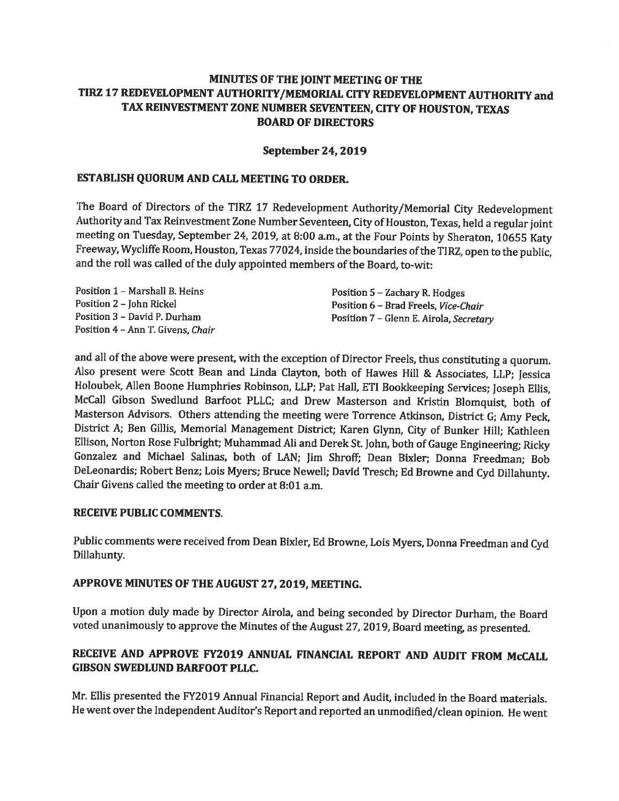### MINUTES OF THE JOINT MEETING OF THE TIRZ 17 REDEVELOPMENT AUTHORITY/MEMORIAL CITY REDEVELOPMENT AUTHORITY and TAX REINVESTMENT ZONE NUMBER SEVENTEEN, CITY OF HOUSTON, TEXAS **BOARD OF DIRECTORS**

### **September 24, 2019**

### ESTABLISH QUORUM AND CALL MEETING TO ORDER.

The Board of Directors of the TIRZ 17 Redevelopment Authority/Memorial City Redevelopment Authority and Tax Reinvestment Zone Number Seventeen, City of Houston, Texas, held a regular joint meeting on Tuesday, September 24, 2019, at 8:00 a.m., at the Four Points by Sheraton, 10655 Katy Freeway, Wycliffe Room, Houston, Texas 77024, inside the boundaries of the TIRZ, open to the public, and the roll was called of the duly appointed members of the Board, to-wit:

Position 1 - Marshall B, Heins Position 2 - John Rickel Position 3 - David P. Durham Position 4 - Ann T. Givens, Chair Position 5 - Zachary R. Hodges Position 6 - Brad Freels, Vice-Chair Position 7 - Glenn E. Airola, Secretary

and all of the above were present, with the exception of Director Freels, thus constituting a quorum. Also present were Scott Bean and Linda Clayton, both of Hawes Hill & Associates, LLP; Jessica Holoubek, Allen Boone Humphries Robinson, LLP; Pat Hall, ETI Bookkeeping Services; Joseph Ellis, McCall Gibson Swedlund Barfoot PLLC; and Drew Masterson and Kristin Blomquist, both of Masterson Advisors. Others attending the meeting were Torrence Atkinson, District G; Amy Peck, District A; Ben Gillis, Memorial Management District; Karen Glynn, City of Bunker Hill; Kathleen Ellison, Norton Rose Fulbright; Muhammad Ali and Derek St. John, both of Gauge Engineering; Ricky Gonzalez and Michael Salinas, both of LAN; Jim Shroff; Dean Bixler; Donna Freedman; Bob DeLeonardis; Robert Benz; Lois Myers; Bruce Newell; David Tresch; Ed Browne and Cyd Dillahunty. Chair Givens called the meeting to order at 8:01 a.m.

### **RECEIVE PUBLIC COMMENTS.**

Public comments were received from Dean Bixler, Ed Browne, Lois Myers, Donna Freedman and Cyd Dillahunty.

### APPROVE MINUTES OF THE AUGUST 27, 2019, MEETING.

Upon a motion duly made by Director Airola, and being seconded by Director Durham, the Board voted unanimously to approve the Minutes of the August 27, 2019, Board meeting, as presented.

### RECEIVE AND APPROVE FY2019 ANNUAL FINANCIAL REPORT AND AUDIT FROM McCALL GIBSON SWEDLUND BARFOOT PLLC.

Mr. Ellis presented the FY2019 Annual Financial Report and Audit, included in the Board materials. He went over the Independent Auditor's Report and reported an unmodified/clean opinion. He went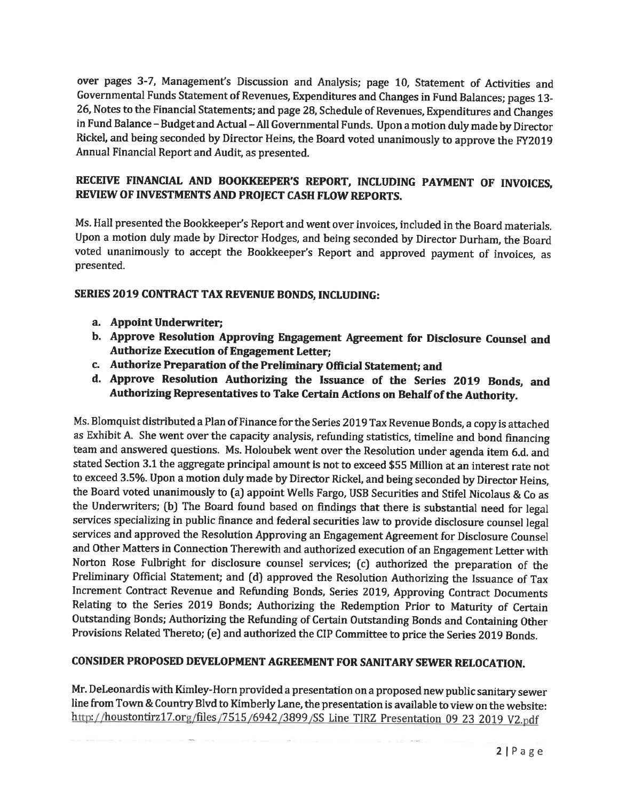over pages 3-7, Management's Discussion and Analysis; page 10, Statement of Activities and Governmental Funds Statement of Revenues, Expenditures and Changes in Fund Balances; pages 13-26. Notes to the Financial Statements; and page 28, Schedule of Revenues, Expenditures and Changes in Fund Balance - Budget and Actual - All Governmental Funds. Upon a motion duly made by Director Rickel, and being seconded by Director Heins, the Board voted unanimously to approve the FY2019 Annual Financial Report and Audit, as presented.

### RECEIVE FINANCIAL AND BOOKKEEPER'S REPORT, INCLUDING PAYMENT OF INVOICES. REVIEW OF INVESTMENTS AND PROJECT CASH FLOW REPORTS.

Ms. Hall presented the Bookkeeper's Report and went over invoices, included in the Board materials. Upon a motion duly made by Director Hodges, and being seconded by Director Durham, the Board voted unanimously to accept the Bookkeeper's Report and approved payment of invoices, as presented.

### SERIES 2019 CONTRACT TAX REVENUE BONDS, INCLUDING:

- a. Appoint Underwriter;
- b. Approve Resolution Approving Engagement Agreement for Disclosure Counsel and **Authorize Execution of Engagement Letter;**
- c. Authorize Preparation of the Preliminary Official Statement; and
- d. Approve Resolution Authorizing the Issuance of the Series 2019 Bonds, and Authorizing Representatives to Take Certain Actions on Behalf of the Authority.

Ms. Blomquist distributed a Plan of Finance for the Series 2019 Tax Revenue Bonds, a copy is attached as Exhibit A. She went over the capacity analysis, refunding statistics, timeline and bond financing team and answered questions. Ms. Holoubek went over the Resolution under agenda item 6.d. and stated Section 3.1 the aggregate principal amount is not to exceed \$55 Million at an interest rate not to exceed 3.5%. Upon a motion duly made by Director Rickel, and being seconded by Director Heins, the Board voted unanimously to (a) appoint Wells Fargo, USB Securities and Stifel Nicolaus & Co as the Underwriters; (b) The Board found based on findings that there is substantial need for legal services specializing in public finance and federal securities law to provide disclosure counsel legal services and approved the Resolution Approving an Engagement Agreement for Disclosure Counsel and Other Matters in Connection Therewith and authorized execution of an Engagement Letter with Norton Rose Fulbright for disclosure counsel services; (c) authorized the preparation of the Preliminary Official Statement; and (d) approved the Resolution Authorizing the Issuance of Tax Increment Contract Revenue and Refunding Bonds, Series 2019, Approving Contract Documents Relating to the Series 2019 Bonds; Authorizing the Redemption Prior to Maturity of Certain Outstanding Bonds; Authorizing the Refunding of Certain Outstanding Bonds and Containing Other Provisions Related Thereto; (e) and authorized the CIP Committee to price the Series 2019 Bonds.

### CONSIDER PROPOSED DEVELOPMENT AGREEMENT FOR SANITARY SEWER RELOCATION.

Mr. DeLeonardis with Kimley-Horn provided a presentation on a proposed new public sanitary sewer line from Town & Country Blvd to Kimberly Lane, the presentation is available to view on the website: http://houstontirz17.org/files/7515/6942/3899/SS Line TIRZ Presentation 09 23 2019 V2.pdf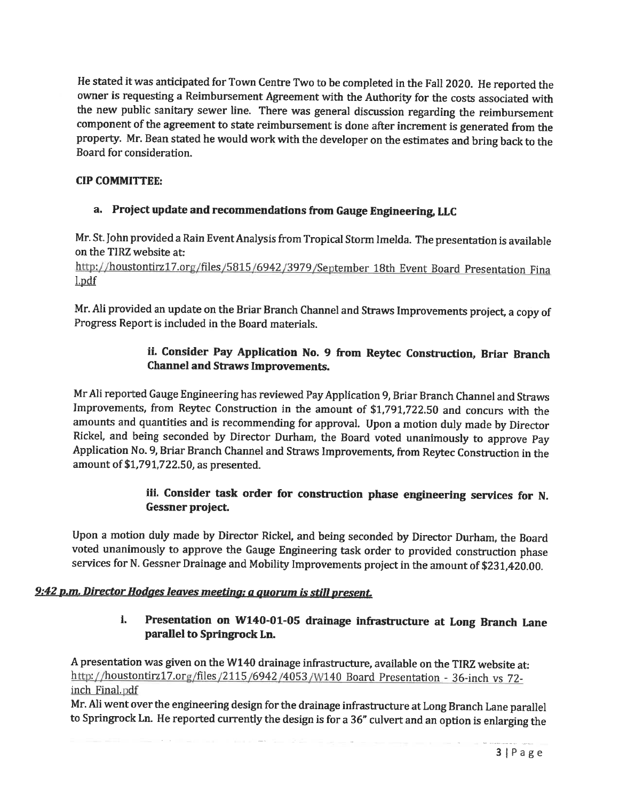He stated it was anticipated for Town Centre Two to be completed in the Fall 2020. He reported the owner is requesting a Reimbursement Agreement with the Authority for the costs associated with the new public sanitary sewer line. There was general discussion regarding the reimbursement component of the agreement to state reimbursement is done after increment is generated from the property. Mr. Bean stated he would work with the developer on the estimates and bring back to the Board for consideration.

### **CIP COMMITTEE:**

### a. Project update and recommendations from Gauge Engineering, LLC

Mr. St. John provided a Rain Event Analysis from Tropical Storm Imelda. The presentation is available on the TIRZ website at:

http://houstontirz17.org/files/5815/6942/3979/September 18th Event Board Presentation Fina l.pdf

Mr. Ali provided an update on the Briar Branch Channel and Straws Improvements project, a copy of Progress Report is included in the Board materials.

### ii. Consider Pay Application No. 9 from Reytec Construction, Briar Branch **Channel and Straws Improvements.**

Mr Ali reported Gauge Engineering has reviewed Pay Application 9, Briar Branch Channel and Straws Improvements, from Reytec Construction in the amount of \$1,791,722.50 and concurs with the amounts and quantities and is recommending for approval. Upon a motion duly made by Director Rickel, and being seconded by Director Durham, the Board voted unanimously to approve Pay Application No. 9, Briar Branch Channel and Straws Improvements, from Reytec Construction in the amount of \$1,791,722.50, as presented.

### iii. Consider task order for construction phase engineering services for N. Gessner project.

Upon a motion duly made by Director Rickel, and being seconded by Director Durham, the Board voted unanimously to approve the Gauge Engineering task order to provided construction phase services for N. Gessner Drainage and Mobility Improvements project in the amount of \$231,420.00.

### 9:42 p.m. Director Hodges leaves meeting; a quorum is still present.

### Presentation on W140-01-05 drainage infrastructure at Long Branch Lane i. parallel to Springrock Ln.

A presentation was given on the W140 drainage infrastructure, available on the TIRZ website at: http://houstontirz17.org/files/2115/6942/4053/W140 Board Presentation - 36-inch vs 72inch Final.pdf

Mr. Ali went over the engineering design for the drainage infrastructure at Long Branch Lane parallel to Springrock Ln. He reported currently the design is for a 36" culvert and an option is enlarging the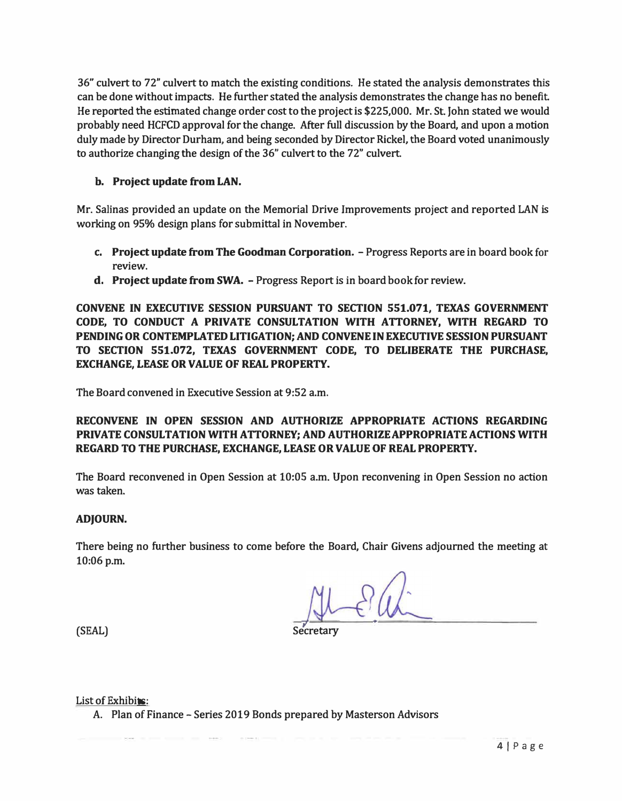**36" culvert to 72" culvert to match the existing conditions. He stated the analysis demonstrates this can be done without impacts. He further stated the analysis demonstrates the change has no benefit. He reported the estimated change order cost to the project is \$225,000. Mr. St John stated we would probably need HCFCD approval for the change. After full discussion by the Board, and upon a motion duly made by Director Durham, and being seconded by Director Rickel, the Board voted unanimously to authorize changing the design of the 36" culvert to the 72" culvert.** 

### **b. Project update from LAN.**

**Mr. Salinas provided an update on the Memorial Drive Improvements project and reported LAN is working on 95% design plans for submittal in November.** 

- **c. Project update from The Goodman Corporation. - Progress Reports are in board book for review.**
- **d.** Project update from SWA. Progress Report is in board book for review.

**CONVENE IN EXECUTIVE SESSION PURSUANT TO SECTION 551.071, TEXAS GOVERNMENT CODE, TO CONDUCT A PRIVATE CONSULTATION WITH ATTORNEY, WITH REGARD TO PENDINGOR CONTEMPLATED LITIGATION; AND CONVENE INEXECUTIVE SESSION PURSUANT TO SECTION 551.072, TEXAS GOVERNMENT CODE, TO DELIBERATE THE PURCHASE, EXCHANGE, LEASE OR VALUE OF REAL PROPERTY.** 

**The Board convened in Executive Session at 9:52 a.m.** 

### **RECONVENE IN OPEN SESSION AND AUTHORIZE APPROPRIATE ACTIONS REGARDING PRIVATE CONSULTATIONWITH ATTORNEY; AND AUTHORIZEAPPROPRIATE ACTIONS WITH REGARD TO** *THE* **PURCHASE, EXCHANGE, LEASE OR VALUE OF REAL PROPERTY.**

**The Board reconvened in Open Session at 10:05 a.m. Upon reconvening in Open Session no action was taken.** 

### **ADJOURN.**

**There being no further business to come before the Board, Chair Givens adjourned the meeting at**  10:06 p.m.

 $\sqrt{1 - 2}$ 

**(SEAL)** 

**Secretary** 

List of Exhibits:

**A. Plan of Finance - Series 2019 Bonds prepared by Masterson Advisors**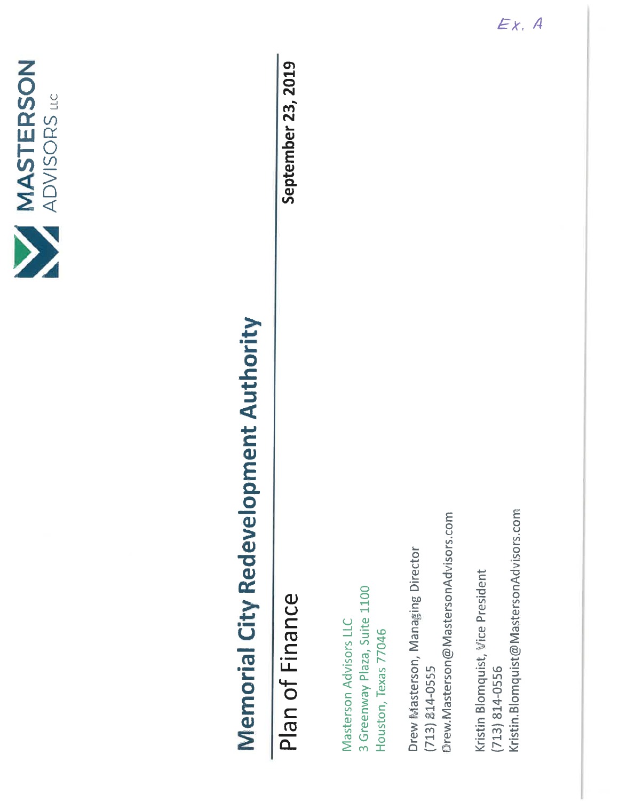

# **Memorial City Redevelopment Authority**

## Plan of Finance

September 23, 2019

3 Greenway Plaza, Suite 1100 Masterson Advisors LLC Houston, Texas 77046

Drew.Masterson@MastersonAdvisors.com Drew Masterson, Managing Director  $(713) 814 - 0555$ 

Kristin.Blomquist@MastersonAdvisors.com Kristin Blomquist, Vice President  $(713) 814 - 0556$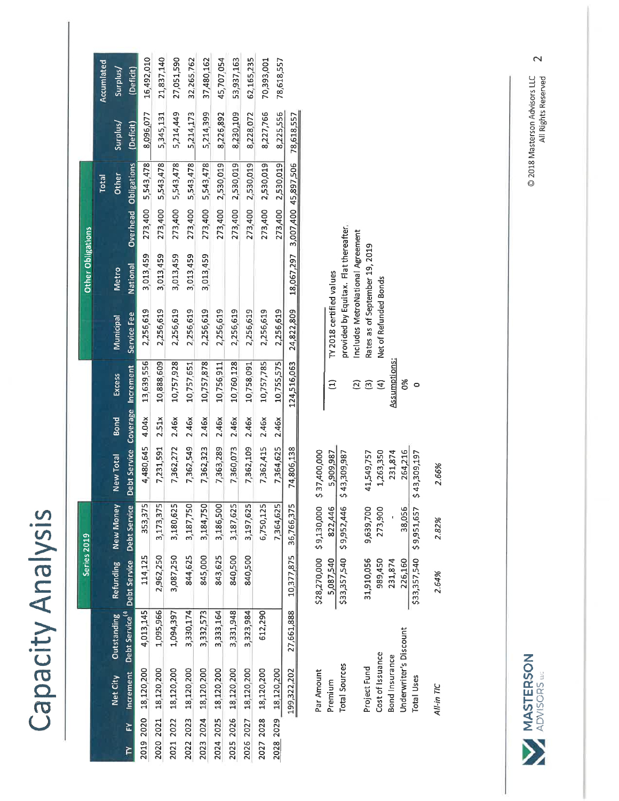| C                                 |
|-----------------------------------|
| ٥<br>$\overline{\mathbf{C}}$<br>Π |
| r                                 |
|                                   |
| σ<br>C                            |
| S                                 |
|                                   |
|                                   |
|                                   |
|                                   |
| $\blacktriangleleft$              |
| C                                 |
| Ç<br>- 1                          |
| C                                 |
|                                   |

| 5,214,449<br>8,096,077<br>5,214,399<br>8,230,109<br>8,228,072<br>5,214,173<br>8,226,892<br>8,227,766<br>8,225,556<br>5,345,131<br>18,067,297 3,007,400 45,897,506 78,618,557<br>Surplus/<br>(Deficit)<br>273,400 2,530,019<br>273,400 5,543,478<br>273,400 5,543,478<br>5,543,478<br>5,543,478<br>5,543,478<br>273,400 2,530,019<br>2,530,019<br>273,400 2,530,019<br>2,530,019<br>Overhead Obligations<br><b>Other</b><br>Total<br>273,400<br>273,400<br>273,400<br>273,400<br>273,400<br>3,013,459<br>3,013,459<br>3,013,459<br>3,013,459<br>3,013,459<br><b>National</b><br>Metro<br>124,516,063 24,822,809<br>2,256,619<br>2,256,619<br>2,256,619<br>2,256,619<br>2,256,619<br>2,256,619<br>2,256,619<br>2,256,619<br>2,256,619<br>2,256,619<br>Service Fee<br>Municipal<br>10,755,575<br>13,639,556<br>10,757,928<br>10,757,878<br>10,757,651<br>10,756,911<br>10,760,128<br>10,758,091<br>10,757,785<br>10,888,609<br>Debt Service Coverage Increment<br>Excess<br>7,362,549 2.46x<br>7,231,591 2.51x<br>7,363,289 2.46x<br>7,364,625 2.46x<br>4.04x<br>7,362,323 2.46x<br>7,362,109 2.46x<br>2.46x<br>2.46x<br>2.46x<br><b>Bond</b><br>4,480,645<br>7,360,073<br>7,362,415<br>7,362,272<br>74,806,138<br>New Total<br>New Money<br>FY Increment Debt Service" Debt Service Debt Service<br>353,375<br>3,173,375<br>3,180,625<br>3,187,750<br>3,184,750<br>3,186,500<br>3,187,625<br>3,197,625<br>6,750,125<br>7,364,625<br>199,322,202 27,661,888 10,377,875 36,766,375<br>844,625<br>843,625<br>2,962,250<br>845,000<br>840,500<br>Outstanding Refunding<br>840,500<br>3,087,250<br>114,125<br>4,013,145<br>1,095,966<br>3,330,174<br>3,323,984<br>612,290<br>3,333,164<br>3,331,948<br>1,094,397<br>3,332,573<br>2026 2027 18,120,200<br>2019 2020 18,120,200<br>2020 2021 18,120,200<br>2022 2023 18,120,200<br>2023 2024 18,120,200<br>2024 2025 18,120,200<br>2025 2026 18,120,200<br>2027 2028 18,120,200<br>2021 2022 18,120,200<br>2028 2029 18,120,200<br>Net City<br>E |  | Series 2019 |  |  | Other Obligations |  |            |
|-----------------------------------------------------------------------------------------------------------------------------------------------------------------------------------------------------------------------------------------------------------------------------------------------------------------------------------------------------------------------------------------------------------------------------------------------------------------------------------------------------------------------------------------------------------------------------------------------------------------------------------------------------------------------------------------------------------------------------------------------------------------------------------------------------------------------------------------------------------------------------------------------------------------------------------------------------------------------------------------------------------------------------------------------------------------------------------------------------------------------------------------------------------------------------------------------------------------------------------------------------------------------------------------------------------------------------------------------------------------------------------------------------------------------------------------------------------------------------------------------------------------------------------------------------------------------------------------------------------------------------------------------------------------------------------------------------------------------------------------------------------------------------------------------------------------------------------------------------------------------------------------------------------------------------------------------------------------------------------------|--|-------------|--|--|-------------------|--|------------|
|                                                                                                                                                                                                                                                                                                                                                                                                                                                                                                                                                                                                                                                                                                                                                                                                                                                                                                                                                                                                                                                                                                                                                                                                                                                                                                                                                                                                                                                                                                                                                                                                                                                                                                                                                                                                                                                                                                                                                                                         |  |             |  |  |                   |  | Accumlated |
|                                                                                                                                                                                                                                                                                                                                                                                                                                                                                                                                                                                                                                                                                                                                                                                                                                                                                                                                                                                                                                                                                                                                                                                                                                                                                                                                                                                                                                                                                                                                                                                                                                                                                                                                                                                                                                                                                                                                                                                         |  |             |  |  |                   |  | Surplus/   |
|                                                                                                                                                                                                                                                                                                                                                                                                                                                                                                                                                                                                                                                                                                                                                                                                                                                                                                                                                                                                                                                                                                                                                                                                                                                                                                                                                                                                                                                                                                                                                                                                                                                                                                                                                                                                                                                                                                                                                                                         |  |             |  |  |                   |  | (Deficit)  |
|                                                                                                                                                                                                                                                                                                                                                                                                                                                                                                                                                                                                                                                                                                                                                                                                                                                                                                                                                                                                                                                                                                                                                                                                                                                                                                                                                                                                                                                                                                                                                                                                                                                                                                                                                                                                                                                                                                                                                                                         |  |             |  |  |                   |  | 16,492,010 |
|                                                                                                                                                                                                                                                                                                                                                                                                                                                                                                                                                                                                                                                                                                                                                                                                                                                                                                                                                                                                                                                                                                                                                                                                                                                                                                                                                                                                                                                                                                                                                                                                                                                                                                                                                                                                                                                                                                                                                                                         |  |             |  |  |                   |  | 21,837,140 |
|                                                                                                                                                                                                                                                                                                                                                                                                                                                                                                                                                                                                                                                                                                                                                                                                                                                                                                                                                                                                                                                                                                                                                                                                                                                                                                                                                                                                                                                                                                                                                                                                                                                                                                                                                                                                                                                                                                                                                                                         |  |             |  |  |                   |  | 27,051,590 |
|                                                                                                                                                                                                                                                                                                                                                                                                                                                                                                                                                                                                                                                                                                                                                                                                                                                                                                                                                                                                                                                                                                                                                                                                                                                                                                                                                                                                                                                                                                                                                                                                                                                                                                                                                                                                                                                                                                                                                                                         |  |             |  |  |                   |  | 32,265,762 |
|                                                                                                                                                                                                                                                                                                                                                                                                                                                                                                                                                                                                                                                                                                                                                                                                                                                                                                                                                                                                                                                                                                                                                                                                                                                                                                                                                                                                                                                                                                                                                                                                                                                                                                                                                                                                                                                                                                                                                                                         |  |             |  |  |                   |  | 37,480,162 |
|                                                                                                                                                                                                                                                                                                                                                                                                                                                                                                                                                                                                                                                                                                                                                                                                                                                                                                                                                                                                                                                                                                                                                                                                                                                                                                                                                                                                                                                                                                                                                                                                                                                                                                                                                                                                                                                                                                                                                                                         |  |             |  |  |                   |  | 45,707,054 |
|                                                                                                                                                                                                                                                                                                                                                                                                                                                                                                                                                                                                                                                                                                                                                                                                                                                                                                                                                                                                                                                                                                                                                                                                                                                                                                                                                                                                                                                                                                                                                                                                                                                                                                                                                                                                                                                                                                                                                                                         |  |             |  |  |                   |  | 53,937,163 |
|                                                                                                                                                                                                                                                                                                                                                                                                                                                                                                                                                                                                                                                                                                                                                                                                                                                                                                                                                                                                                                                                                                                                                                                                                                                                                                                                                                                                                                                                                                                                                                                                                                                                                                                                                                                                                                                                                                                                                                                         |  |             |  |  |                   |  | 62,165,235 |
|                                                                                                                                                                                                                                                                                                                                                                                                                                                                                                                                                                                                                                                                                                                                                                                                                                                                                                                                                                                                                                                                                                                                                                                                                                                                                                                                                                                                                                                                                                                                                                                                                                                                                                                                                                                                                                                                                                                                                                                         |  |             |  |  |                   |  | 70,393,001 |
|                                                                                                                                                                                                                                                                                                                                                                                                                                                                                                                                                                                                                                                                                                                                                                                                                                                                                                                                                                                                                                                                                                                                                                                                                                                                                                                                                                                                                                                                                                                                                                                                                                                                                                                                                                                                                                                                                                                                                                                         |  |             |  |  |                   |  | 78,618,557 |
|                                                                                                                                                                                                                                                                                                                                                                                                                                                                                                                                                                                                                                                                                                                                                                                                                                                                                                                                                                                                                                                                                                                                                                                                                                                                                                                                                                                                                                                                                                                                                                                                                                                                                                                                                                                                                                                                                                                                                                                         |  |             |  |  |                   |  |            |

| TY 2018 certified values                                             | provided by Equitax. Flat thereafter,<br>Includes MetroNational Agreement | Rates as of September 19, 2019 | Net of Refunded Bonds | <u>Assumptions:</u> | 8g                     |                                       |            |
|----------------------------------------------------------------------|---------------------------------------------------------------------------|--------------------------------|-----------------------|---------------------|------------------------|---------------------------------------|------------|
|                                                                      |                                                                           |                                |                       |                     |                        |                                       |            |
| \$28,270,000 \$9,130,000 \$37,400,000<br>5,087,540 822,446 5,909,987 |                                                                           | 41,549,757                     | 1,263,350             | 231,874             | 264,216                | \$33,357,540 \$9,951,657 \$43,309,197 | 2.66%      |
|                                                                      |                                                                           | 9,639,700                      | 273,900               |                     | 38,056                 |                                       | 2.82%      |
|                                                                      | \$33,357,540 \$9,952,446 \$43,309,987                                     | 1,910,056                      | 989,450               | 231,874             | 226,160                |                                       | 2.64%      |
| Par Amount<br>Premium                                                | <b>Total Sources</b>                                                      | Project Fund                   | Cost of Issuance      | Bond Insurance      | Underwriter's Discount | <b>Total Uses</b>                     | All-in TIC |

MASTERSON

© 2018 Masterson Advisors LLC<br>All Rights Reserved

 $\overline{\mathbf{C}}$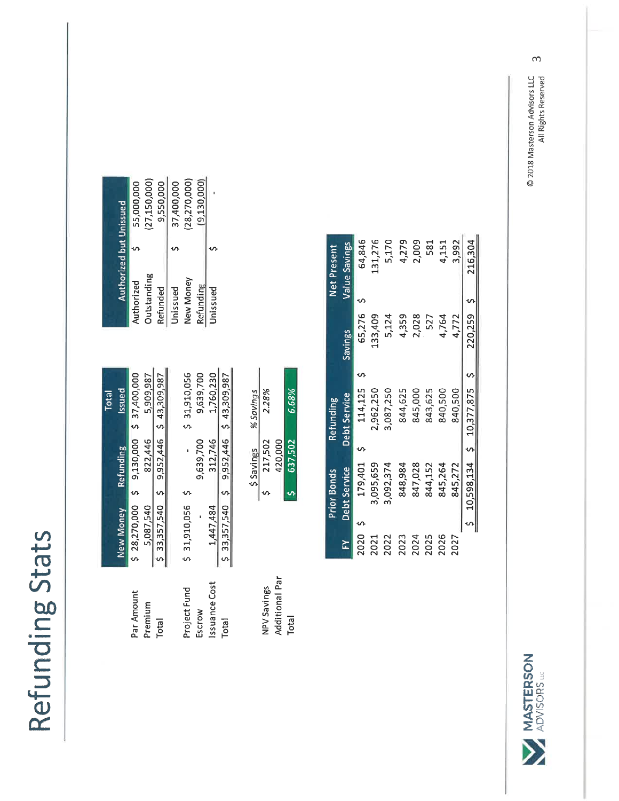Refunding Stats

| Total | ssued            | 9,130,000 \$ 37,400,000 | 5,909,987 | 33,357,540 \$ 9,952,446 \$ 43,309,987 | \$31,910,056 | 9,639,700 | 1,760,230     | 9,952,446 \$ 43,309,987 | % Savings | 2.28%       |                | 6.68%   |
|-------|------------------|-------------------------|-----------|---------------------------------------|--------------|-----------|---------------|-------------------------|-----------|-------------|----------------|---------|
|       | Refunding        |                         | 822,446   |                                       |              | 9,639,700 | 312,746       |                         | S Savings | 217,502     | 420,000        | 637,502 |
|       |                  |                         |           |                                       |              |           |               |                         |           |             |                |         |
|       | <b>New Money</b> | $$28,270,000$ \$        | 5,087,540 |                                       | \$31,910,056 |           | 1,447,484     | $$33,357,540$ \$        |           |             |                |         |
|       |                  | Par Amount              | Premium   | Total                                 | Project Fund | Escrow    | Issuance Cost | <b>Total</b>            |           | NPV Savings | Additional Par | Total   |

|                                | 55,000,000 | (27, 150, 000) | 9,550,000 | 37,400,000 | (28,270,000) | (9,130,000)      |          |
|--------------------------------|------------|----------------|-----------|------------|--------------|------------------|----------|
|                                |            |                |           |            |              |                  |          |
| <b>Authorized but Unissued</b> | Authorized | Outstanding    | Refunded  | Unissued   | New Money    | <b>Refunding</b> | Unissued |

| 6.68%     | 637,502   |   |
|-----------|-----------|---|
|           | 420,000   |   |
| 2.28%     | 217,502   | ภ |
| % Savings | \$Savings |   |

|      | <b>Prior Bonds</b> | <b>Refunding</b>            |                | Net Present   |  |
|------|--------------------|-----------------------------|----------------|---------------|--|
| ř    | Debt Service       | Debt Service                | <b>Savings</b> | Value Savings |  |
| 2020 | 179,401            | 114,125                     | 65,276         | 64,846        |  |
| 2021 | 3,095,659          | 2,962,250                   | 133,409        | 131,276       |  |
| 2022 | 3,092,374          | 3,087,250                   | 5,124          | 5,170         |  |
| 2023 | 848,984            | 844,625                     | 4,359          | 4,279         |  |
| 2024 | 847,028            | 845,000                     | 2,028          | 2,009         |  |
| 2025 | 844,152            | 843,625                     | 527            | 581           |  |
| 2026 | 845,264            | 840,500                     | 4,764          | 4,151         |  |
| 2027 | 845,272            | 840,500                     | 4,772          | 3,992         |  |
|      |                    | 10,598,134 \$ 10,377,875 \$ | 220,259 \$     | 216,304       |  |

### © 2018 Masterson Advisors LLC<br>All Rights Reserved



 $\infty$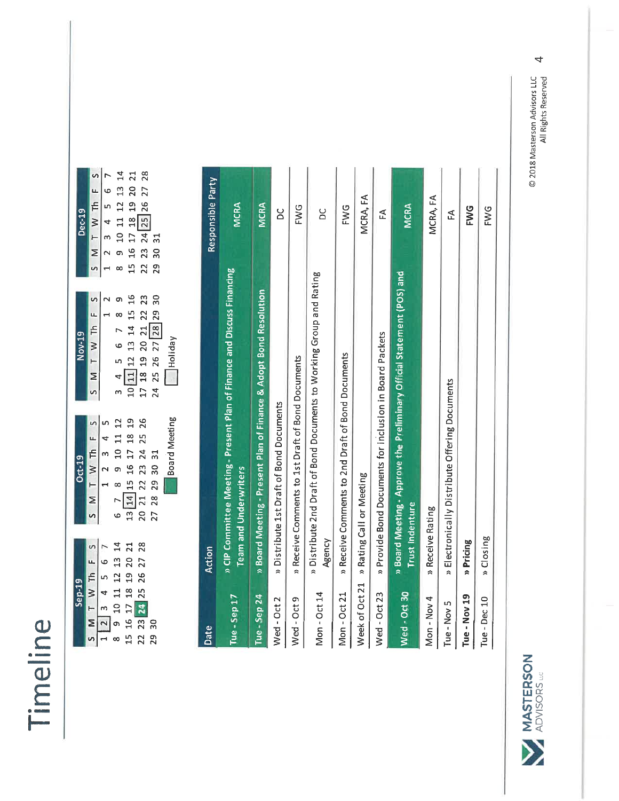### Timeline

| <b>Dec-19</b> |                | $\frac{5}{1}$ $\frac{M T W T h F S}{3 4 5 6 7}$                                                                                                                                                                                                                                                                                                                                                                     |                                                                    | 8 9 10 11 12 13 14<br>15 16 17 18 19 20 21<br>22 23 24 <mark>25</mark> 26 27 28 | 30 31                                                                                                                    |               |
|---------------|----------------|---------------------------------------------------------------------------------------------------------------------------------------------------------------------------------------------------------------------------------------------------------------------------------------------------------------------------------------------------------------------------------------------------------------------|--------------------------------------------------------------------|---------------------------------------------------------------------------------|--------------------------------------------------------------------------------------------------------------------------|---------------|
| Nov-19        | 5 M T W Th F S |                                                                                                                                                                                                                                                                                                                                                                                                                     |                                                                    |                                                                                 | 29<br>$\begin{array}{cccc} 3&4&5&6&7&8\\ 10&11&12&13&14&15&16\\ 17&18&19&20&21&22&23\\ 24&25&26&27&28&29&30 \end{array}$ | THoliday      |
| <b>Oct-19</b> |                | $\begin{array}{ c c c c c } \hline \text{S} & \text{M} & \text{T} & \text{W} & \text{Th} & \text{F} & \text{S} \\ \hline \text{S} & \text{1} & \text{2} & \text{3} & \text{4} & \text{5} \\ \hline \text{S} & \text{7} & \text{8} & \text{9} & \text{10} & \text{11} & \text{12} \\ \text{13} & \text{14} & \text{15} & \text{16} & \text{17} & \text{18} & \text{19} \\ \text{20} & \text{21} & \text{22} & \text$ |                                                                    |                                                                                 |                                                                                                                          | Board Meeting |
| $Step-19$     |                | $\begin{array}{c cccc}\n5 & \text{M} & \text{T} & \text{W} & \text{Th} & \text{F} & \text{S} \\ \hline\n1 & 2 & 3 & 4 & 5 & 6 & 7\n\end{array}$                                                                                                                                                                                                                                                                     | 8 9 10 11 12 13 14<br>15 16 17 18 19 20 21<br>22 23 24 25 26 27 28 |                                                                                 |                                                                                                                          |               |
|               |                |                                                                                                                                                                                                                                                                                                                                                                                                                     |                                                                    |                                                                                 | 29 30                                                                                                                    |               |

| Date         | Action                                                                                                  | Responsible Party |
|--------------|---------------------------------------------------------------------------------------------------------|-------------------|
| Tue - Sep 17 | » CIP Committee Meeting - Present Plan of Finance and Discuss Financing<br><b>Team and Underwriters</b> | <b>MCRA</b>       |
| Tue Sep 24   | » Board Meeting - Present Plan of Finance & Adopt Bond Resolution                                       | <b>MCRA</b>       |
| Wed-Oct2     | » Distribute 1st Draft of Bond Documents                                                                | δ                 |
| Wed-Oct9     | » Receive Comments to 1st Draft of Bond Documents                                                       | FWG               |
| Mon-Oct 14   | » Distribute 2nd Draft of Bond Documents to Working Group and Rating<br>Agency                          | ă                 |
| Mon - Oct 21 | » Receive Comments to 2nd Draft of Bond Documents                                                       | ENG               |
|              | Week of Oct 21 » Rating Call or Meeting                                                                 | MCRA, FA          |
| Wed-Oct 23   | » Provide Bond Documents for inclusion in Board Packets                                                 | £                 |
| Wed - Oct 30 | » Board Meeting - Approve the Preliminary Official Statement (POS) and<br>Trust Indenture               | <b>MCRA</b>       |
| Mon - Nov 4  | » Receive Rating                                                                                        | MCRA, FA          |
| Tue - Nov 5  | » Electronically Distribute Offering Documents                                                          | £                 |
| Tue - Nov 19 | » Pricing                                                                                               | <b>FWG</b>        |
| Tue - Dec 10 | » Closing                                                                                               | <b>FWG</b>        |

© 2018 Masterson Advisors LLC<br>All Rights Reserved

 $\overline{4}$ 

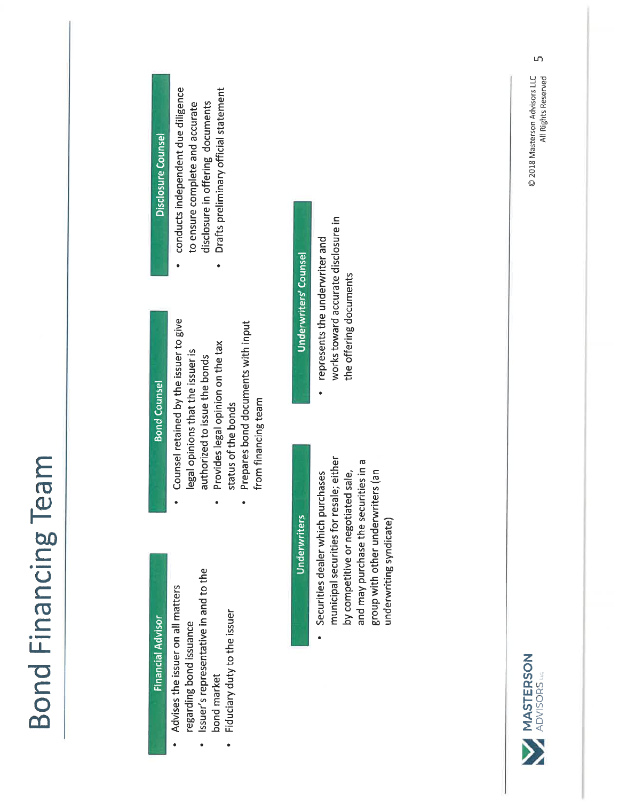| Disclosure Counsel       | conducts independent due diligence<br>Drafts preliminary official statement<br>disclosure in offering documents<br>to ensure complete and accurate<br>۰                                                                               | <b>Underwriters Counsel</b> | works toward accurate disclosure in<br>represents the underwriter and<br>the offering documents                                                                                                                            |
|--------------------------|---------------------------------------------------------------------------------------------------------------------------------------------------------------------------------------------------------------------------------------|-----------------------------|----------------------------------------------------------------------------------------------------------------------------------------------------------------------------------------------------------------------------|
| <b>Bond Counsel</b>      | Counsel retained by the issuer to give<br>Prepares bond documents with input<br>Provides legal opinion on the tax<br>legal opinions that the issuer is<br>authorized to issue the bonds<br>from financing team<br>status of the bonds | <b>Underwriters</b>         | municipal securities for resale; either<br>and may purchase the securities in a<br>group with other underwriters (an<br>Securities dealer which purchases<br>by competitive or negotiated sale,<br>underwriting syndicate) |
| <b>Financial Advisor</b> | Issuer's representative in and to the<br>Advises the issuer on all matters<br>Fiduciary duty to the issuer<br>regarding bond issuance<br>bond market                                                                                  |                             |                                                                                                                                                                                                                            |

© 2018 Masterson Advisors LLC<br>All Rights Reserved

 $\overline{5}$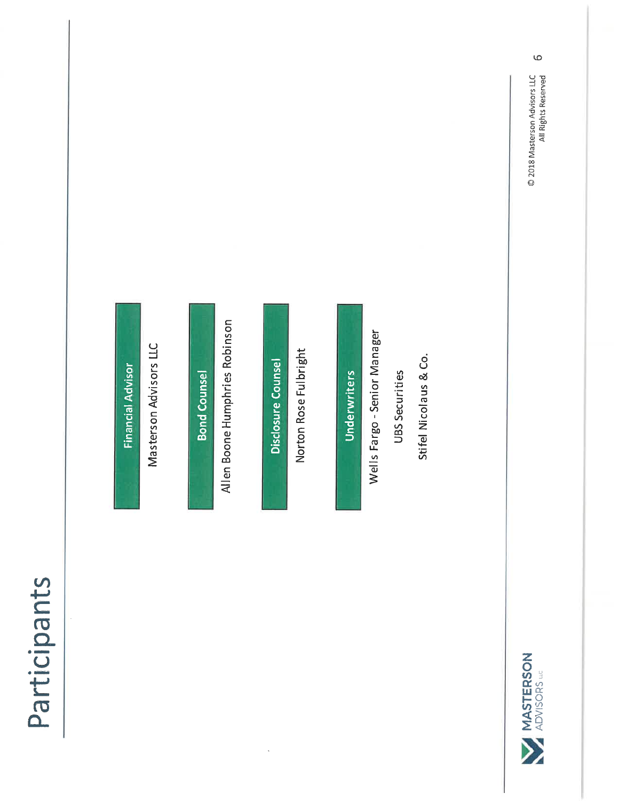Participants

**Financial Advisor** 

Masterson Advisors LLC

**Bond Counsel** 

Allen Boone Humphries Robinson

Disclosure Counsel

Norton Rose Fulbright

Underwriters

Wells Fargo - Senior Manager

UBS Securities

Stifel Nicolaus & Co.



 $\ddot{\circ}$ 

© 2018 Masterson Advisors LLC<br>All Rights Reserved